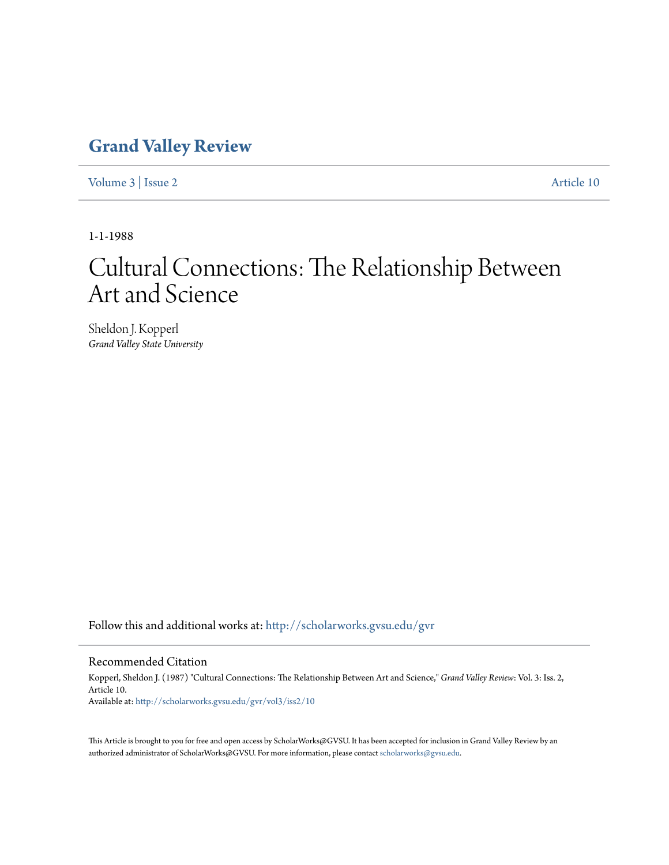### **[Grand Valley Review](http://scholarworks.gvsu.edu/gvr?utm_source=scholarworks.gvsu.edu%2Fgvr%2Fvol3%2Fiss2%2F10&utm_medium=PDF&utm_campaign=PDFCoverPages)**

[Volume 3](http://scholarworks.gvsu.edu/gvr/vol3?utm_source=scholarworks.gvsu.edu%2Fgvr%2Fvol3%2Fiss2%2F10&utm_medium=PDF&utm_campaign=PDFCoverPages) | [Issue 2](http://scholarworks.gvsu.edu/gvr/vol3/iss2?utm_source=scholarworks.gvsu.edu%2Fgvr%2Fvol3%2Fiss2%2F10&utm_medium=PDF&utm_campaign=PDFCoverPages) [Article 10](http://scholarworks.gvsu.edu/gvr/vol3/iss2/10?utm_source=scholarworks.gvsu.edu%2Fgvr%2Fvol3%2Fiss2%2F10&utm_medium=PDF&utm_campaign=PDFCoverPages)

1-1-1988

# Cultural Connections: The Relationship Between Art and Science

Sheldon J. Kopperl *Grand Valley State University*

Follow this and additional works at: [http://scholarworks.gvsu.edu/gvr](http://scholarworks.gvsu.edu/gvr?utm_source=scholarworks.gvsu.edu%2Fgvr%2Fvol3%2Fiss2%2F10&utm_medium=PDF&utm_campaign=PDFCoverPages)

#### Recommended Citation

Kopperl, Sheldon J. (1987) "Cultural Connections: The Relationship Between Art and Science," *Grand Valley Review*: Vol. 3: Iss. 2, Article 10. Available at: [http://scholarworks.gvsu.edu/gvr/vol3/iss2/10](http://scholarworks.gvsu.edu/gvr/vol3/iss2/10?utm_source=scholarworks.gvsu.edu%2Fgvr%2Fvol3%2Fiss2%2F10&utm_medium=PDF&utm_campaign=PDFCoverPages)

This Article is brought to you for free and open access by ScholarWorks@GVSU. It has been accepted for inclusion in Grand Valley Review by an authorized administrator of ScholarWorks@GVSU. For more information, please contact [scholarworks@gvsu.edu.](mailto:scholarworks@gvsu.edu)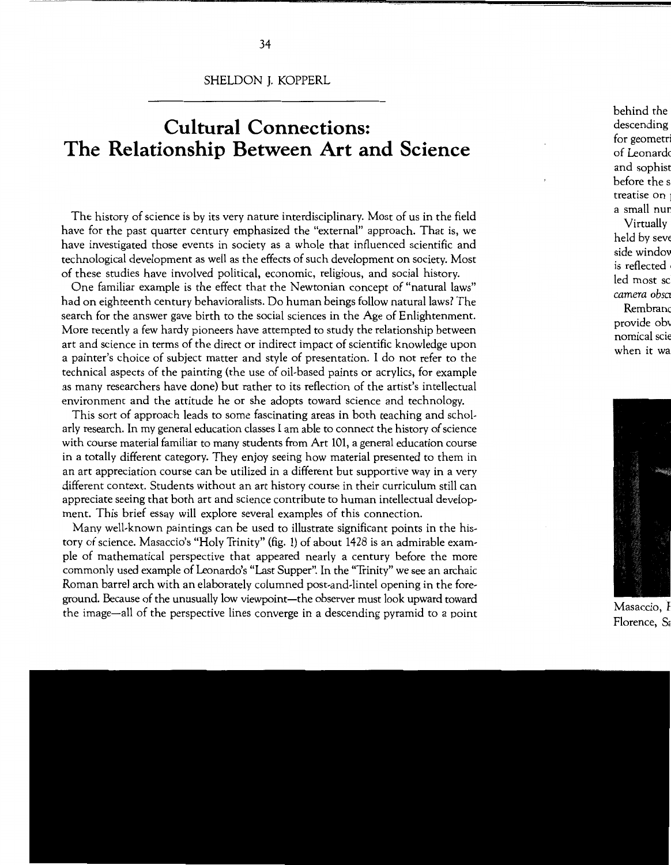SHELDON J. KOPPERL

## **Cultural Connections: The Relationship Between Art and Science**

The history of science is by its very nature interdisciplinary. Most of us in the field have for the past quarter century emphasized the "external" approach. That is, we have investigated those events in society as a whole that influenced scientific and technological development as well as the effects of such development on society. Most of these studies have involved political, economic, religious, and social history.

One familiar example is the effect that the Newtonian concept of "natural laws" had on eighteenth century behavioralists. Do human beings follow natural laws? The search for the answer gave birth to the social sciences in the Age of Enlightenment. More recently a few hardy pioneers have attempted to study the relationship between art and science in terms of the direct or indirect impact of scientific knowledge upon a painter's choice of subject matter and style of presentation. I do not refer to the technical aspects of the painting (the use of oil-based paints or acrylics, for example as many researchers have done) but rather to its reflection of the artist's intellectual environment and the attitude he or she adopts toward science and technology.

This sort of approach leads to some fascinating areas in both teaching and scholarly research. In my general education classes I am able to connect the history of science with course material familiar to many students from Art 101, a general education course in a totally different category. They enjoy seeing how material presented to them in an art appreciation course can be utilized in a different but supportive way in a very different context. Students without an art history course in their curriculum still can appreciate seeing that both art and science contribute to human intellectual development. This brief essay will explore several examples of this connection.

Many well-known paintings can be used to illustrate significant points in the history of science. Masaccio's "Holy Trinity" (fig. 1) of about 1428 is an admirable example of mathematical perspective that appeared nearly a century before the more commonly used example of Leonardo's "Last Supper". In the "Trinity" we see an archaic Roman barrel arch with an elaborately columned post-and-lintel opening in the foreground. Because of the unusually low viewpoint-the observer must look upward toward the image-all of the perspective lines converge in a descending pyramid to a point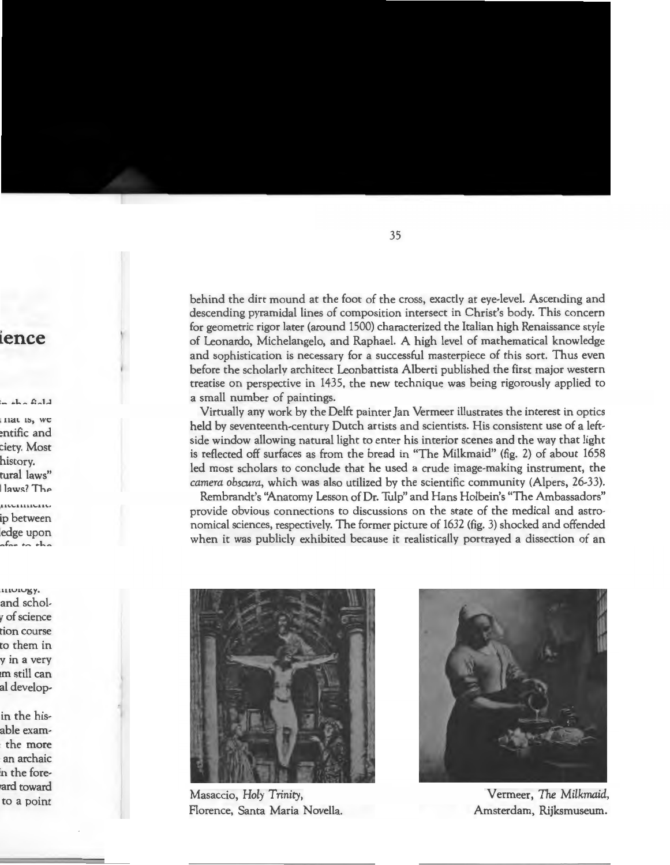behind the dirt mound at the foot of the cross, exactly at eye-level. Ascending and descending pyramidal lines of composition intersect in Christ's body. This concern for geometric rigor later (around 1500) characterized the Italian high Renaissance style of Leonardo, Michelangelo, and Raphael. A high level of mathematical knowledge and sophistication is necessary for a successful masterpiece of this sort. Thus even before the scholarly architect Leonbattista Alberti published the first major western treatise on perspective in 1435, the new technique was being rigorously applied to a small number of paintings.

Virtually any work by the Delft painter Jan Vermeer illustrates the interest in optics held by seventeenth-century Dutch artists and scientists. His consistent use of a leftside window allowing natural light to enter his interior scenes and the way that light is reflected off surfaces as from the bread in "The Milkmaid" (fig. 2) of about 1658 led most scholars to conclude that he used a crude image-making instrument, the *camera obscura,* which was also utilized by the scientific community (Alpers, 26-33).

Rembrandt's ''Anatomy Lesson of Or. Tulp" and Hans Holbein's "The Ambassadors" provide obvious connections to discussions on the state of the medical and astronomical sciences, respectively. The former picture of 1632 (fig. 3) shocked and offended when it was publicly exhibited because it realistically portrayed a dissection of an



Masaccio, *Holy* Trinity, Florence, Santa Maria Novella.



Vermeer, *The Milkmaid,*  Amsterdam, Rijksmuseum.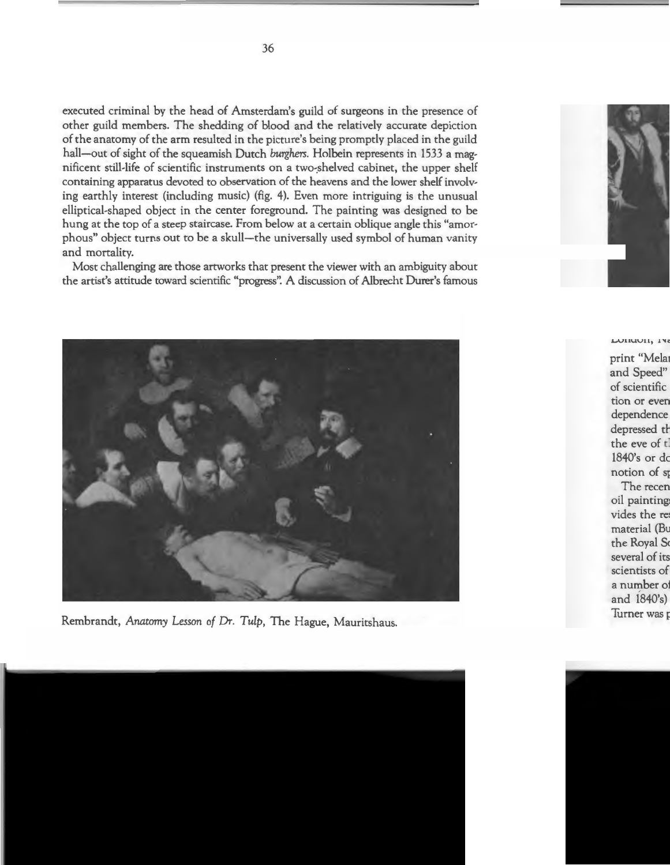executed criminal by the head of Amsterdam's guild of surgeons in the presence of other guild members. The shedding of blood and the relatively accurate depiction of the anatomy of the arm resulted in the picture's being promptly placed in the guild hall-out of sight of the squeamish Dutch *burghers*. Holbein represents in 1533 a magnificent still-life of scientific instruments on a two-shelved cabinet, the upper shelf containing apparatus devoted to observation of the heavens and the lower shelf involving earthly interest (including music) (fig. 4). Even more intriguing is the unusual elliptical-shaped object in the center foreground. The painting was designed to be hung at the top of a steep staircase. From below at a certain oblique angle this "amorphous" object turns out to be a skull-the universally used symbol of human vanity and mortality.

Most challenging are those artworks that present the viewer with an ambiguity about the artist's attitude toward scientific "progress". A discussion of Albrecht Durer's famous



Rembrandt, *Anatomy Lesson of* Dr. Tulp, The Hague, Mauritshaus.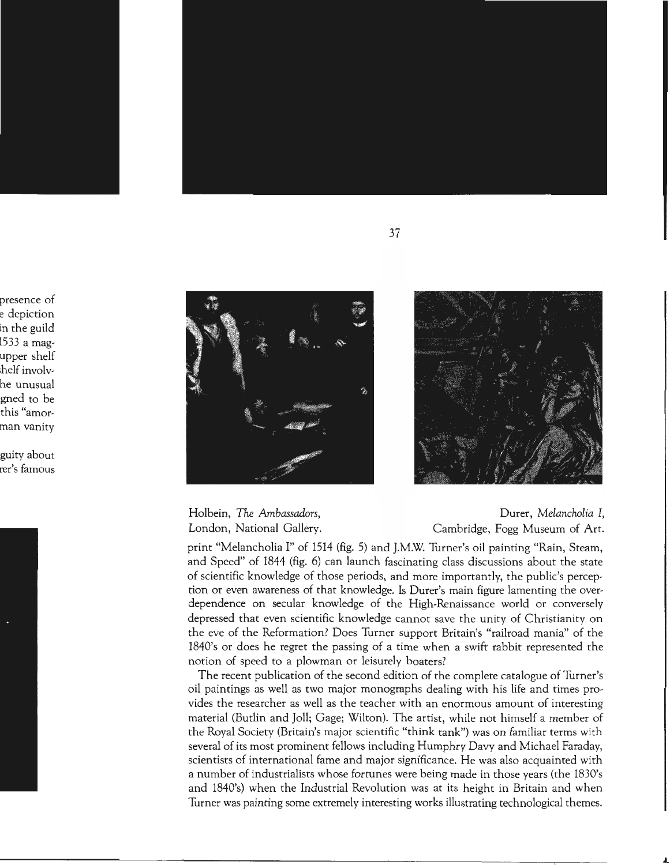



Holbein, *The Ambassadors,*  London, National Gallery.

Durer, *Melancholia I,*  Cambridge, Fogg Museum of Art.

print "Melancholia I" of 1514 (fig. 5) and J.M.W. Turner's oil painting "Rain, Steam, and Speed" of 1844 (fig. 6) can launch fascinating class discussions about the state of scientific knowledge of those periods, and more importantly, the public's perception or even awareness of that knowledge. Is Durer's main figure lamenting the overdependence on secular knowledge of the High-Renaissance world or conversely depressed that even scientific knowledge cannot save the unity of Christianity on the eve of the Reformation? Does Turner support Britain's "railroad mania" of the 1840's or does he regret the passing of a time when a swift rabbit represented the notion of speed to a plowman or leisurely boaters?

The recent publication of the second edition of the complete catalogue of Turner's oil paintings as well as two major monogmphs dealing with his life and times provides the researcher as well as the teacher with an enormous amount of interesting material (Budin and Joll; Gage; Wilton). The artist, while not himself a member of the Royal Society (Britain's major scientific "think tank") was on familiar terms with several of its most prominent fellows including Humphry Davy and Michael Faraday, scientists of international fame and major significance. He was also acquainted with a number of industrialists whose fortunes were being made in those years (the 1830's and 1840's) when the Industrial Revolution was at its height in Britain and when Turner was painting some extremely interesting works illustmting technological themes.

37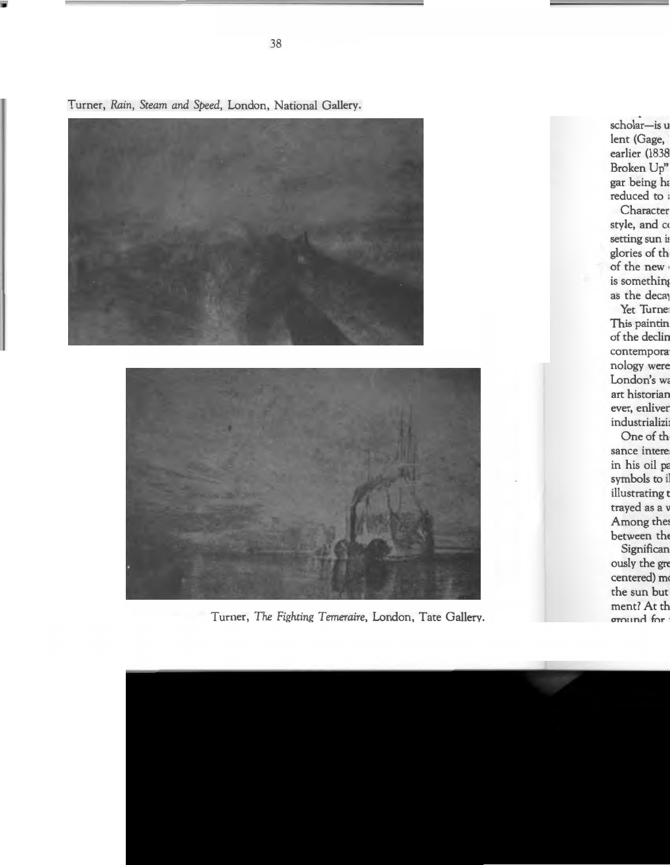

Turner, *Rain, Steam and Speed,* London, National Gallery.



Turner, *The Fighting Temeraire,* London, Tate Gallery.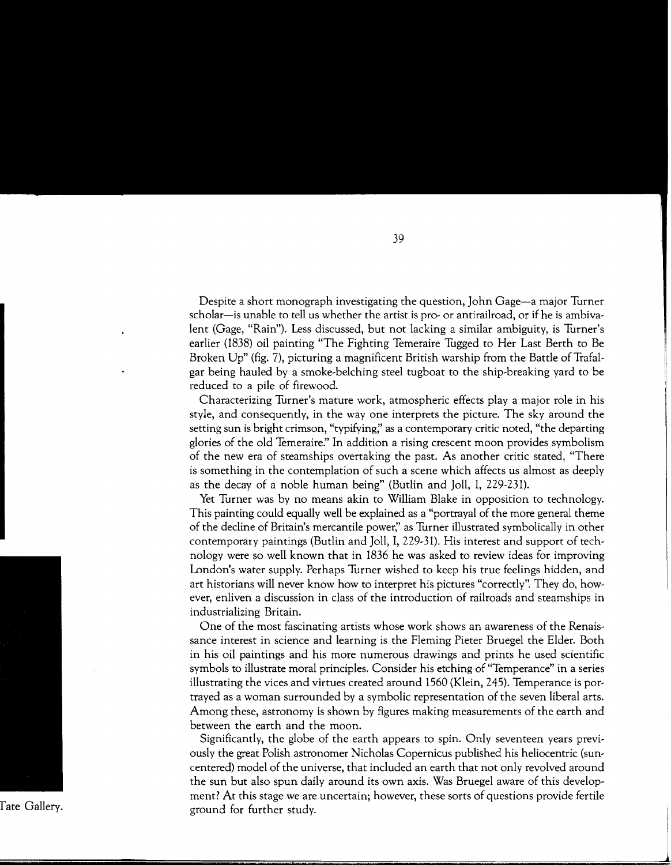Despite a short monograph investigating the question, John Gage-a major Turner scholar-is unable to tell us whether the artist is pro- or antirailroad, or if he is ambivalent (Gage, "Rain"). Less discussed, but not lacking a similar ambiguity, is Turner's earlier (1838) oil painting "The Fighting Temeraire Tugged to Her Last Berth to Be Broken Up" (fig. 7), picturing a magnificent British warship from the Battle of Trafalgar being hauled by a smoke-belching steel tugboat to the ship-breaking yard to be reduced to a pile of firewood.

Characterizing Turner's mature work, atmospheric effects play a major role in his style, and consequently, in the way one interprets the picture. The sky around the setting sun is bright crimson, "typifying;' as a contemporary critic noted, "the departing glories of the old Temeraire:' In addition a rising crescent moon provides symbolism of the new era of steamships overtaking the past. As another critic stated, "There is something in the contemplation of such a scene which affects us almost as deeply as the decay of a noble human being" (Budin and Joll, I, 229-231).

Yet Turner was by no means akin to William Blake in opposition to technology. This painting could equally well be explained as a "portrayal of the more general theme of the decline of Britain's mercantile power;' as Turner illustrated symbolically in other contemporary paintings (Budin and Joll, I, 229-31). His interest and support of technology were so well known that in 1836 he was asked to review ideas for improving London's water supply. Perhaps Turner wished to keep his true feelings hidden, and art historians will never know how to interpret his pictures "correctly". They do, however, enliven a discussion in class of the introduction of railroads and steamships in industrializing Britain.

One of the most fascinating artists whose work shows an awareness of the Renaissance interest in science and learning is the Fleming Pieter Bruegel the Elder. Both in his oil paintings and his more numerous drawings and prints he used scientific symbols to illustrate moral principles. Consider his etching of "Temperance" in a series illustrating the vices and virtues created around 1560 (Klein, 245). Temperance is portrayed as a woman surrounded by a symbolic representation of the seven liberal arts. Among these, astronomy is shown by figures making measurements of the earth and between the earth and the moon.

Significantly, the globe of the earth appears to spin. Only seventeen years previously the great Polish astronomer Nicholas Copernicus published his heliocentric (suncentered) model of the universe, that included an earth that not only revolved around the sun but also spun daily around its own axis. Was Bruegel aware of this development? At this stage we are uncertain; however, these sorts of questions provide fertile ground for further study.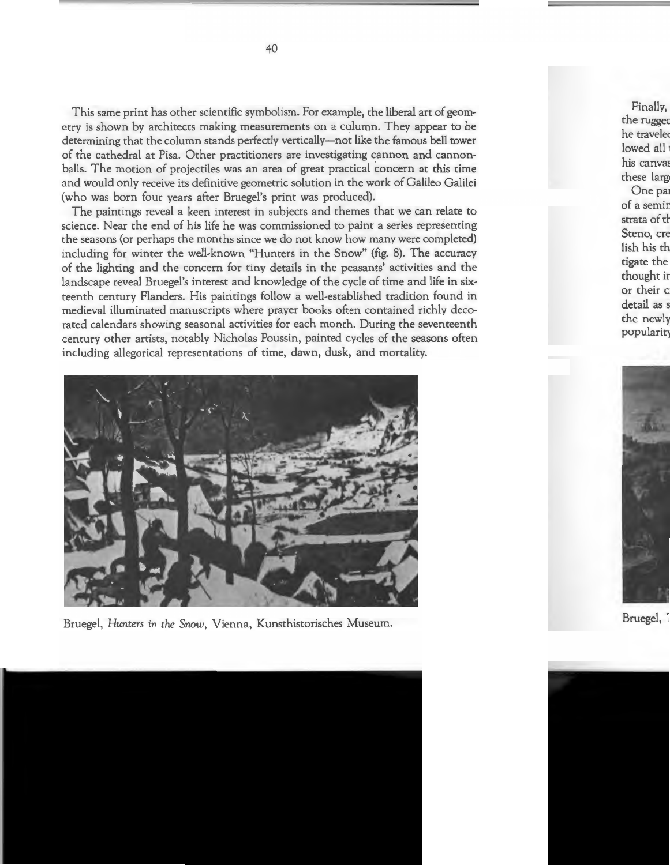This same print has other scientific symbolism. For example, the liberal art of geometry is shown by architects making measurements on a column. They appear to be determining that the column stands perfectly vertically-not like the famous bell tower of the cathedral at Pisa. Other practitioners are investigating cannon and cannonballs. The motion of projectiles was an area of great practical concern at this time and would only receive its definitive geometric solution in the work of Galileo Galilei (who was born four years after Bruegel's print was produced).

The paintings reveal a keen interest in subjects and themes that we can relate to science. Near the end of his life he was commissioned to paint a series representing the seasons (or perhaps the months since we do not know how many were completed) including for winter the well-known "Hunters in the Snow" (fig. 8). The accuracy of the lighting and the concern for tiny details in the peasants' activities and the landscape reveal Bruegel's interest and knowledge of the cycle of time and life in sixteenth century Flanders. His paintings follow a well-established tradition found in medieval illuminated manuscripts where prayer books often contained richly decorated calendars showing seasonal activities for each month. During the seventeenth century other artists, notably Nicholas Poussin, painted cycles of the seasons often including allegorical representations of time, dawn, dusk, and mortality.



Bruegel, *Hunters in the Snow,* Vienna, Kunsthistorisches Museum.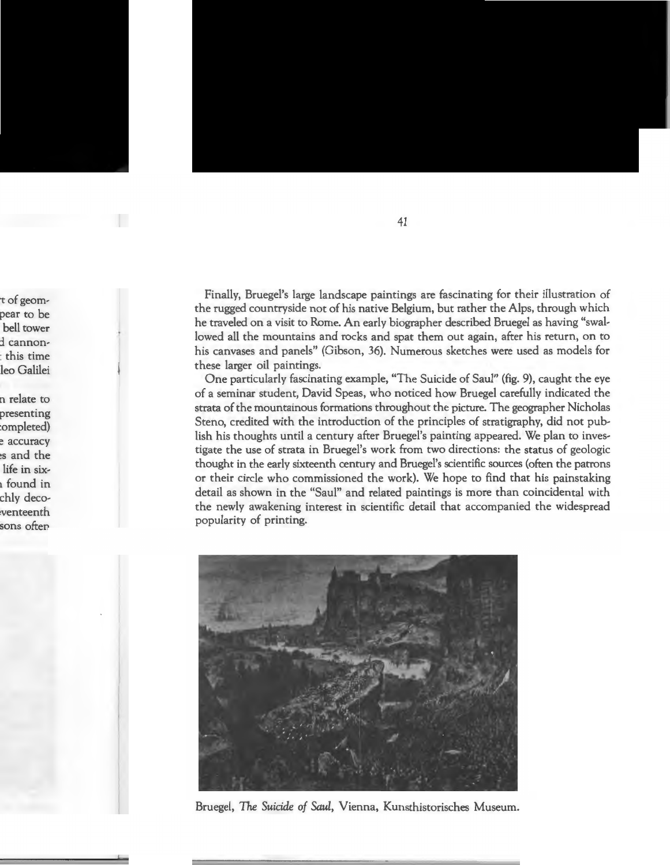Finally, Bruegel's large landscape paintings are fascinating for their illustration of the rugged countryside not of his native Belgium, but rather the Alps, through which he traveled on a visit to Rome. An early biographer described Bruegel as having "swallowed all the mountains and rocks and spat them out again, after his return, on to his canvases and panels" (Gibson, 36). Numerous sketches were used as models for these larger oil paintings.

One particularly fascinating example, "The Suicide of Saul" (fig. 9), caught the eye of a seminar student, David Speas, who noticed how Bruegel carefully indicated the strata of the mountainous formations throughout the picture. The geographer Nicholas Steno, credited with the introduction of the principles of stratigraphy, did not publish his thoughts until a century after Bruegel's painting appeared. We plan to investigate the use of strata in Bruegel's work from two directions: the status of geologic thought in the early sixteenth century and Bruegel's scientific sources (often the patrons or their circle who commissioned the work). We hope to find that his painstaking detail as shown in the "Saul" and related paintings is more than coincidental with the newly awakening interest in scientific detail that accompanied the widespread popularity of printing.



Bruegel, *The Suicide of Saul,* Vienna, Kunsthistorisches Museum.